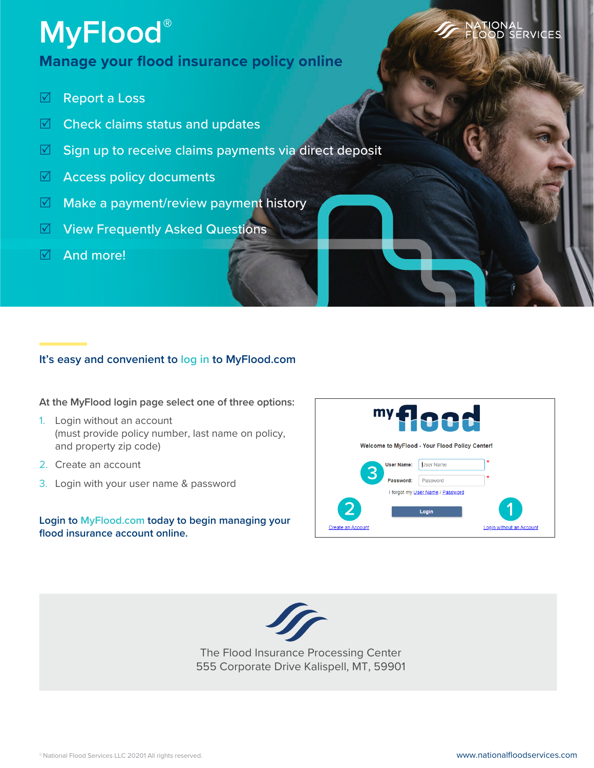# **MyFlood®**

### **Manage your flood insurance policy online**

- **⊠** Report a Loss
- $\triangledown$  Check claims status and updates
- $\blacksquare$  Sign up to receive claims payments via direct deposit
- $\boxtimes$  Access policy documents
- $\blacksquare$  Make a payment/review payment history
- $\triangledown$  View Frequently Asked Questions
- $\overline{\boxtimes}$  And more!

#### **It's easy and convenient to log in to MyFlood.com**

**At the MyFlood login page select one of three options:** 

- 1. Login without an account (must provide policy number, last name on policy, and property zip code)
- 2. Create an account
- 3. Login with your user name & password

#### **Login to MyFlood.com today to begin managing your flood insurance account online.**





The Flood Insurance Processing Center 555 Corporate Drive Kalispell, MT, 59901 ATIONAL<br>.OOD SERVIC<mark>ES</mark>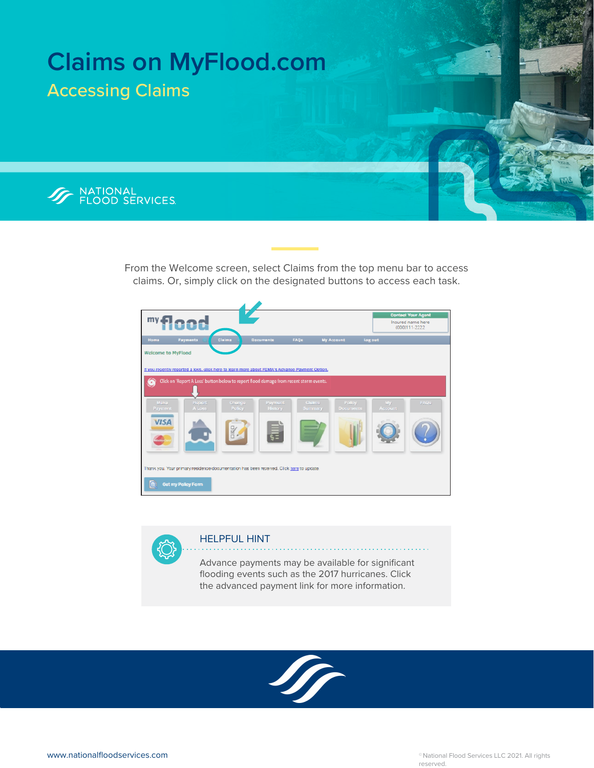

From the Welcome screen, select Claims from the top menu bar to access claims. Or, simply click on the designated buttons to access each task.



. . . . . . . . . . . . . . . . . .

HELPFUL HINT

Advance payments may be available for significant flooding events such as the 2017 hurricanes. Click the advanced payment link for more information.



 $\alpha$  is a second or  $\alpha$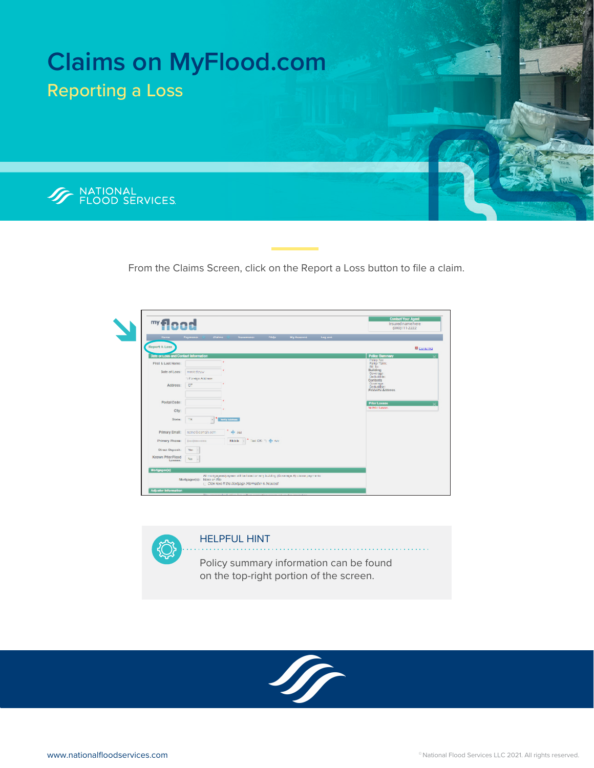

From the Claims Screen, click on the Report a Loss button to file a claim.



. . . . . . . . . . . . . . .

HELPFUL HINT

Policy summary information can be found on the top-right portion of the screen.



a a shekara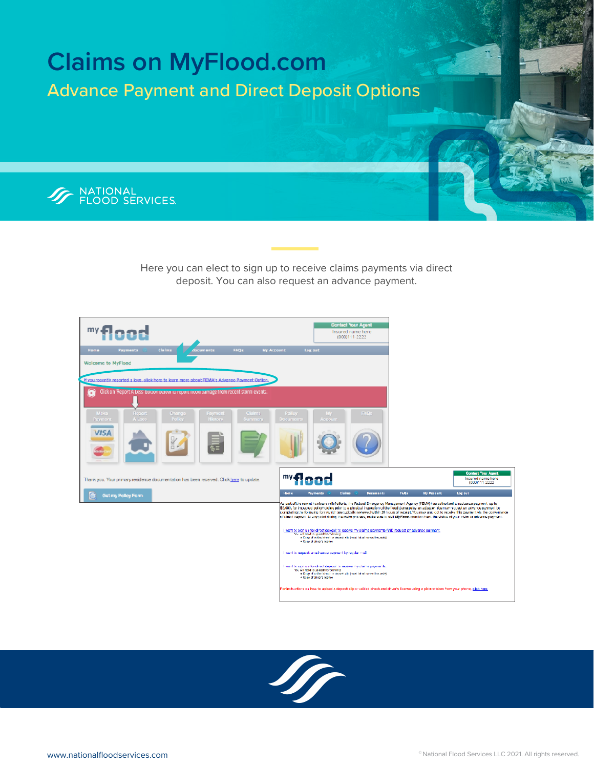

Here you can elect to sign up to receive claims payments via direct deposit. You can also request an advance payment.